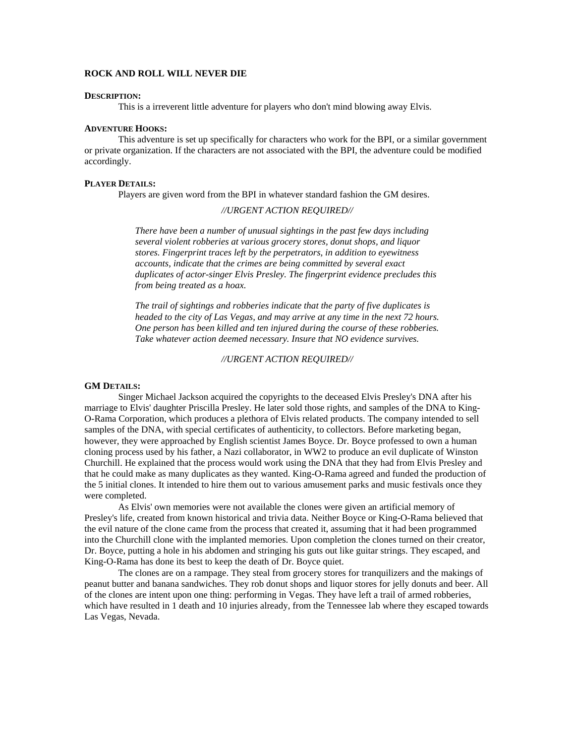# **ROCK AND ROLL WILL NEVER DIE**

#### **DESCRIPTION:**

This is a irreverent little adventure for players who don't mind blowing away Elvis.

### **ADVENTURE HOOKS:**

This adventure is set up specifically for characters who work for the BPI, or a similar government or private organization. If the characters are not associated with the BPI, the adventure could be modified accordingly.

## **PLAYER DETAILS:**

Players are given word from the BPI in whatever standard fashion the GM desires.

# *//URGENT ACTION REQUIRED//*

*There have been a number of unusual sightings in the past few days including several violent robberies at various grocery stores, donut shops, and liquor stores. Fingerprint traces left by the perpetrators, in addition to eyewitness accounts, indicate that the crimes are being committed by several exact duplicates of actor-singer Elvis Presley. The fingerprint evidence precludes this from being treated as a hoax.* 

*The trail of sightings and robberies indicate that the party of five duplicates is headed to the city of Las Vegas, and may arrive at any time in the next 72 hours. One person has been killed and ten injured during the course of these robberies. Take whatever action deemed necessary. Insure that NO evidence survives.* 

*//URGENT ACTION REQUIRED//*

### **GM DETAILS:**

 Singer Michael Jackson acquired the copyrights to the deceased Elvis Presley's DNA after his marriage to Elvis' daughter Priscilla Presley. He later sold those rights, and samples of the DNA to King-O-Rama Corporation, which produces a plethora of Elvis related products. The company intended to sell samples of the DNA, with special certificates of authenticity, to collectors. Before marketing began, however, they were approached by English scientist James Boyce. Dr. Boyce professed to own a human cloning process used by his father, a Nazi collaborator, in WW2 to produce an evil duplicate of Winston Churchill. He explained that the process would work using the DNA that they had from Elvis Presley and that he could make as many duplicates as they wanted. King-O-Rama agreed and funded the production of the 5 initial clones. It intended to hire them out to various amusement parks and music festivals once they were completed.

As Elvis' own memories were not available the clones were given an artificial memory of Presley's life, created from known historical and trivia data. Neither Boyce or King-O-Rama believed that the evil nature of the clone came from the process that created it, assuming that it had been programmed into the Churchill clone with the implanted memories. Upon completion the clones turned on their creator, Dr. Boyce, putting a hole in his abdomen and stringing his guts out like guitar strings. They escaped, and King-O-Rama has done its best to keep the death of Dr. Boyce quiet.

The clones are on a rampage. They steal from grocery stores for tranquilizers and the makings of peanut butter and banana sandwiches. They rob donut shops and liquor stores for jelly donuts and beer. All of the clones are intent upon one thing: performing in Vegas. They have left a trail of armed robberies, which have resulted in 1 death and 10 injuries already, from the Tennessee lab where they escaped towards Las Vegas, Nevada.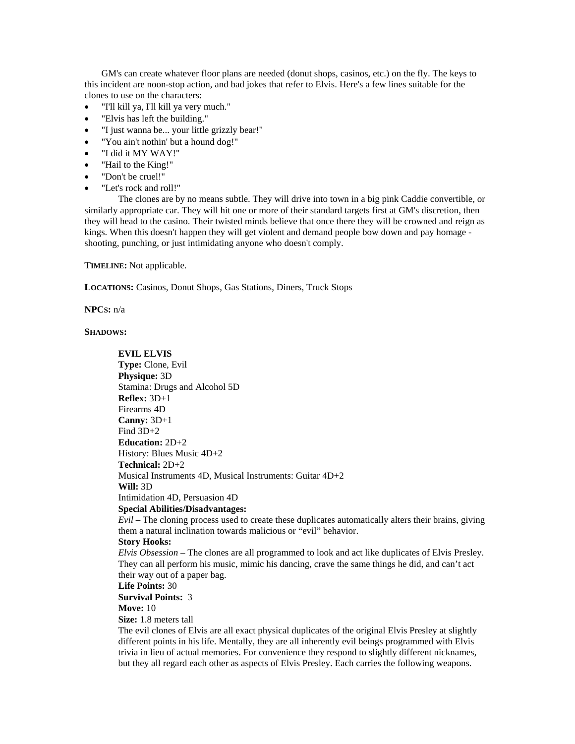GM's can create whatever floor plans are needed (donut shops, casinos, etc.) on the fly. The keys to this incident are noon-stop action, and bad jokes that refer to Elvis. Here's a few lines suitable for the clones to use on the characters:

- "I'll kill ya, I'll kill ya very much."
- "Elvis has left the building."
- "I just wanna be... your little grizzly bear!"
- "You ain't nothin' but a hound dog!"
- "I did it MY WAY!"
- "Hail to the King!"
- "Don't be cruel!"
- "Let's rock and roll!"

The clones are by no means subtle. They will drive into town in a big pink Caddie convertible, or similarly appropriate car. They will hit one or more of their standard targets first at GM's discretion, then they will head to the casino. Their twisted minds believe that once there they will be crowned and reign as kings. When this doesn't happen they will get violent and demand people bow down and pay homage shooting, punching, or just intimidating anyone who doesn't comply.

**TIMELINE:** Not applicable.

**LOCATIONS:** Casinos, Donut Shops, Gas Stations, Diners, Truck Stops

**NPCS:** n/a

**SHADOWS:**

**EVIL ELVIS Type:** Clone, Evil **Physique:** 3D Stamina: Drugs and Alcohol 5D **Reflex:** 3D+1 Firearms 4D **Canny:** 3D+1 Find 3D+2 **Education:** 2D+2 History: Blues Music 4D+2 **Technical:** 2D+2 Musical Instruments 4D, Musical Instruments: Guitar 4D+2 **Will:** 3D Intimidation 4D, Persuasion 4D **Special Abilities/Disadvantages:** *Evil* – The cloning process used to create these duplicates automatically alters their brains, giving them a natural inclination towards malicious or "evil" behavior. **Story Hooks:** *Elvis Obsession* – The clones are all programmed to look and act like duplicates of Elvis Presley. They can all perform his music, mimic his dancing, crave the same things he did, and can't act their way out of a paper bag.

**Life Points:** 30

**Survival Points:** 3

**Move:** 10

**Size:** 1.8 meters tall

The evil clones of Elvis are all exact physical duplicates of the original Elvis Presley at slightly different points in his life. Mentally, they are all inherently evil beings programmed with Elvis trivia in lieu of actual memories. For convenience they respond to slightly different nicknames, but they all regard each other as aspects of Elvis Presley. Each carries the following weapons.